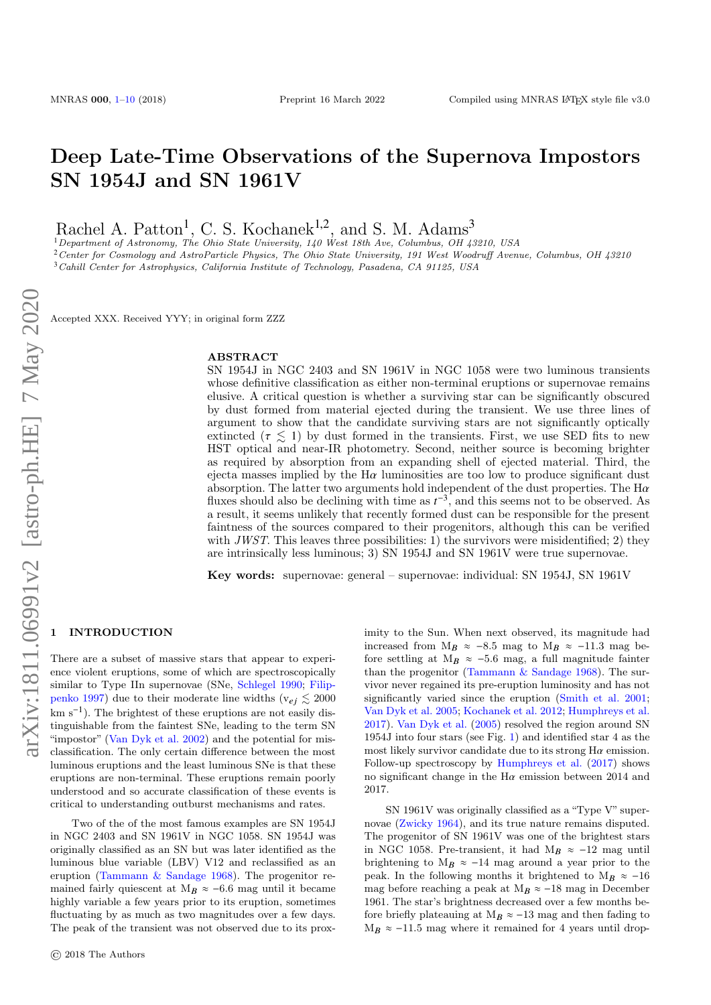# Deep Late-Time Observations of the Supernova Impostors SN 1954J and SN 1961V

Rachel A. Patton<sup>1</sup>, C. S. Kochanek<sup>1,2</sup>, and S. M. Adams<sup>3</sup>

<sup>1</sup>Department of Astronomy, The Ohio State University, 140 West 18th Ave, Columbus, OH 43210, USA <sup>2</sup> Center for Cosmology and AstroParticle Physics, The Ohio State University, 191 West Woodruff Avenue, Columbus, OH 43210 <sup>3</sup>Cahill Center for Astrophysics, California Institute of Technology, Pasadena, CA 91125, USA

Accepted XXX. Received YYY; in original form ZZZ

#### ABSTRACT

SN 1954J in NGC 2403 and SN 1961V in NGC 1058 were two luminous transients whose definitive classification as either non-terminal eruptions or supernovae remains elusive. A critical question is whether a surviving star can be significantly obscured by dust formed from material ejected during the transient. We use three lines of argument to show that the candidate surviving stars are not significantly optically extincted ( $\tau \leq 1$ ) by dust formed in the transients. First, we use SED fits to new HST optical and near-IR photometry. Second, neither source is becoming brighter as required by absorption from an expanding shell of ejected material. Third, the ejecta masses implied by the  $H\alpha$  luminosities are too low to produce significant dust absorption. The latter two arguments hold independent of the dust properties. The  $Ha$ fluxes should also be declining with time as  $t^{-3}$ , and this seems not to be observed. As a result, it seems unlikely that recently formed dust can be responsible for the present faintness of the sources compared to their progenitors, although this can be verified with JWST. This leaves three possibilities: 1) the survivors were misidentified; 2) they are intrinsically less luminous; 3) SN 1954J and SN 1961V were true supernovae.

Key words: supernovae: general – supernovae: individual: SN 1954J, SN 1961V

#### <span id="page-0-0"></span>**INTRODUCTION**

There are a subset of massive stars that appear to experience violent eruptions, some of which are spectroscopically similar to Type IIn supernovae (SNe, [Schlegel](#page-9-1) [1990;](#page-9-1) [Filip](#page-9-2)[penko](#page-9-2) [1997\)](#page-9-2) due to their moderate line widths ( $v_{ej} \lesssim 2000$ km s<sup>-1</sup>). The brightest of these eruptions are not easily distinguishable from the faintest SNe, leading to the term SN "impostor" [\(Van Dyk et al.](#page-9-3) [2002\)](#page-9-3) and the potential for misclassification. The only certain difference between the most luminous eruptions and the least luminous SNe is that these eruptions are non-terminal. These eruptions remain poorly understood and so accurate classification of these events is critical to understanding outburst mechanisms and rates.

Two of the of the most famous examples are SN 1954J in NGC 2403 and SN 1961V in NGC 1058. SN 1954J was originally classified as an SN but was later identified as the luminous blue variable (LBV) V12 and reclassified as an eruption [\(Tammann & Sandage](#page-9-4) [1968\)](#page-9-4). The progenitor remained fairly quiescent at  $M_B \approx -6.6$  mag until it became highly variable a few years prior to its eruption, sometimes fluctuating by as much as two magnitudes over a few days. The peak of the transient was not observed due to its prox-

imity to the Sun. When next observed, its magnitude had increased from M<sub>B</sub> ≈ -8.5 mag to M<sub>B</sub> ≈ -11.3 mag before settling at  $M_B \approx -5.6$  mag, a full magnitude fainter than the progenitor (Tammann  $\&$  Sandage [1968\)](#page-9-4). The survivor never regained its pre-eruption luminosity and has not significantly varied since the eruption [\(Smith et al.](#page-9-5) [2001;](#page-9-5) [Van Dyk et al.](#page-9-6) [2005;](#page-9-6) [Kochanek et al.](#page-9-7) [2012;](#page-9-7) [Humphreys et al.](#page-9-8) [2017\)](#page-9-8). [Van Dyk et al.](#page-9-6) [\(2005\)](#page-9-6) resolved the region around SN 1954J into four stars (see Fig. [1\)](#page-1-0) and identified star 4 as the most likely survivor candidate due to its strong  $H\alpha$  emission. Follow-up spectroscopy by [Humphreys et al.](#page-9-8) [\(2017\)](#page-9-8) shows no significant change in the  $H\alpha$  emission between 2014 and 2017.

SN 1961V was originally classified as a "Type V" supernovae [\(Zwicky](#page-9-9) [1964\)](#page-9-9), and its true nature remains disputed. The progenitor of SN 1961V was one of the brightest stars in NGC 1058. Pre-transient, it had M<sub>B</sub>  $\approx$  -12 mag until brightening to M $_B$  ≈  $-14$  mag around a year prior to the peak. In the following months it brightened to M<sub>B</sub>  $\approx$  -16 mag before reaching a peak at M<sub>B</sub>  $\approx$  -18 mag in December 1961. The star's brightness decreased over a few months before briefly plateauing at  $M_B \approx -13$  mag and then fading to  $M_B \approx -11.5$  mag where it remained for 4 years until drop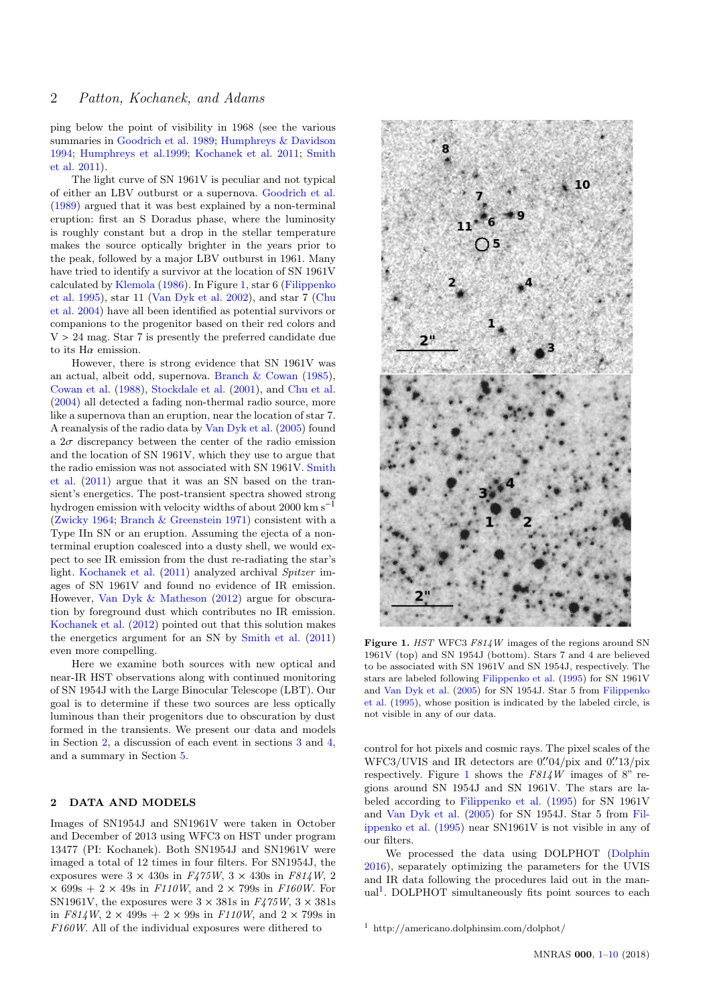ping below the point of visibility in 1968 (see the various summaries in [Goodrich et al.](#page-9-10) [1989;](#page-9-10) [Humphreys & Davidson](#page-9-11) [1994;](#page-9-11) [Humphreys et al.1999;](#page-9-12) [Kochanek et al.](#page-9-13) [2011;](#page-9-13) [Smith](#page-9-14) [et al.](#page-9-14) [2011\)](#page-9-14).

The light curve of SN 1961V is peculiar and not typical of either an LBV outburst or a supernova. [Goodrich et al.](#page-9-10) [\(1989\)](#page-9-10) argued that it was best explained by a non-terminal eruption: first an S Doradus phase, where the luminosity is roughly constant but a drop in the stellar temperature makes the source optically brighter in the years prior to the peak, followed by a major LBV outburst in 1961. Many have tried to identify a survivor at the location of SN 1961V calculated by [Klemola](#page-9-15) [\(1986\)](#page-9-15). In Figure [1,](#page-1-0) star 6 [\(Filippenko](#page-9-16) [et al.](#page-9-16) [1995\)](#page-9-16), star 11 [\(Van Dyk et al.](#page-9-3) [2002\)](#page-9-3), and star 7 [\(Chu](#page-9-17) [et al.](#page-9-17) [2004\)](#page-9-17) have all been identified as potential survivors or companions to the progenitor based on their red colors and  $V > 24$  mag. Star 7 is presently the preferred candidate due to its  $H\alpha$  emission.

However, there is strong evidence that SN 1961V was an actual, albeit odd, supernova. [Branch & Cowan](#page-9-18) [\(1985\)](#page-9-18), [Cowan et al.](#page-9-19) [\(1988\)](#page-9-19), [Stockdale et al.](#page-9-20) [\(2001\)](#page-9-20), and [Chu et al.](#page-9-17) [\(2004\)](#page-9-17) all detected a fading non-thermal radio source, more like a supernova than an eruption, near the location of star 7. A reanalysis of the radio data by [Van Dyk et al.](#page-9-6) [\(2005\)](#page-9-6) found a  $2\sigma$  discrepancy between the center of the radio emission and the location of SN 1961V, which they use to argue that the radio emission was not associated with SN 1961V. [Smith](#page-9-14) [et al.](#page-9-14) [\(2011\)](#page-9-14) argue that it was an SN based on the transient's energetics. The post-transient spectra showed strong hydrogen emission with velocity widths of about 2000  $\rm km~s^{-1}$ [\(Zwicky](#page-9-9) [1964;](#page-9-9) [Branch & Greenstein](#page-9-21) [1971\)](#page-9-21) consistent with a Type IIn SN or an eruption. Assuming the ejecta of a nonterminal eruption coalesced into a dusty shell, we would expect to see IR emission from the dust re-radiating the star's light. [Kochanek et al.](#page-9-13) [\(2011\)](#page-9-13) analyzed archival Spitzer images of SN 1961V and found no evidence of IR emission. However, [Van Dyk & Matheson](#page-9-22) [\(2012\)](#page-9-22) argue for obscuration by foreground dust which contributes no IR emission. [Kochanek et al.](#page-9-7) [\(2012\)](#page-9-7) pointed out that this solution makes the energetics argument for an SN by [Smith et al.](#page-9-14) [\(2011\)](#page-9-14) even more compelling.

Here we examine both sources with new optical and near-IR HST observations along with continued monitoring of SN 1954J with the Large Binocular Telescope (LBT). Our goal is to determine if these two sources are less optically luminous than their progenitors due to obscuration by dust formed in the transients. We present our data and models in Section [2,](#page-1-1) a discussion of each event in sections [3](#page-4-0) and [4,](#page-7-0) and a summary in Section [5.](#page-8-0)

## <span id="page-1-1"></span>2 DATA AND MODELS

Images of SN1954J and SN1961V were taken in October and December of 2013 using WFC3 on HST under program 13477 (PI: Kochanek). Both SN1954J and SN1961V were imaged a total of 12 times in four filters. For SN1954J, the exposures were  $3 \times 430s$  in  $F475W$ ,  $3 \times 430s$  in  $F814W$ , 2  $\times$  699s + 2  $\times$  49s in *F110W*, and 2  $\times$  799s in *F160W*. For SN1961V, the exposures were  $3 \times 381$ s in  $F475W$ ,  $3 \times 381$ s in  $F814W$ ,  $2 \times 499s + 2 \times 99s$  in  $F110W$ , and  $2 \times 799s$  in F160W. All of the individual exposures were dithered to



Figure 1. HST WFC3 F814W images of the regions around SN 1961V (top) and SN 1954J (bottom). Stars 7 and 4 are believed to be associated with SN 1961V and SN 1954J, respectively. The stars are labeled following [Filippenko et al.](#page-9-16) [\(1995\)](#page-9-16) for SN 1961V and [Van Dyk et al.](#page-9-6) [\(2005\)](#page-9-6) for SN 1954J. Star 5 from [Filippenko](#page-9-16) [et al.](#page-9-16) [\(1995\)](#page-9-16), whose position is indicated by the labeled circle, is not visible in any of our data.

<span id="page-1-0"></span>control for hot pixels and cosmic rays. The pixel scales of the WFC3/UVIS and IR detectors are  $0''04/\text{pix}$  and  $0''13/\text{pix}$ <br>respectively. Figure 1 shows the  $F81/W$  images of  $8''$  re respectively. Figure [1](#page-1-0) shows the  $F814W$  images of 8" regions around SN 1954J and SN 1961V. The stars are labeled according to [Filippenko et al.](#page-9-16) [\(1995\)](#page-9-16) for SN 1961V and [Van Dyk et al.](#page-9-6) [\(2005\)](#page-9-6) for SN 1954J. Star 5 from [Fil](#page-9-16)[ippenko et al.](#page-9-16) [\(1995\)](#page-9-16) near SN1961V is not visible in any of our filters.

We processed the data using DOLPHOT [\(Dolphin](#page-9-23) [2016\)](#page-9-23), separately optimizing the parameters for the UVIS and IR data following the procedures laid out in the man-ual<sup>[1](#page-1-2)</sup>. DOLPHOT simultaneously fits point sources to each

<span id="page-1-2"></span> $1$  http://americano.dolphinsim.com/dolphot/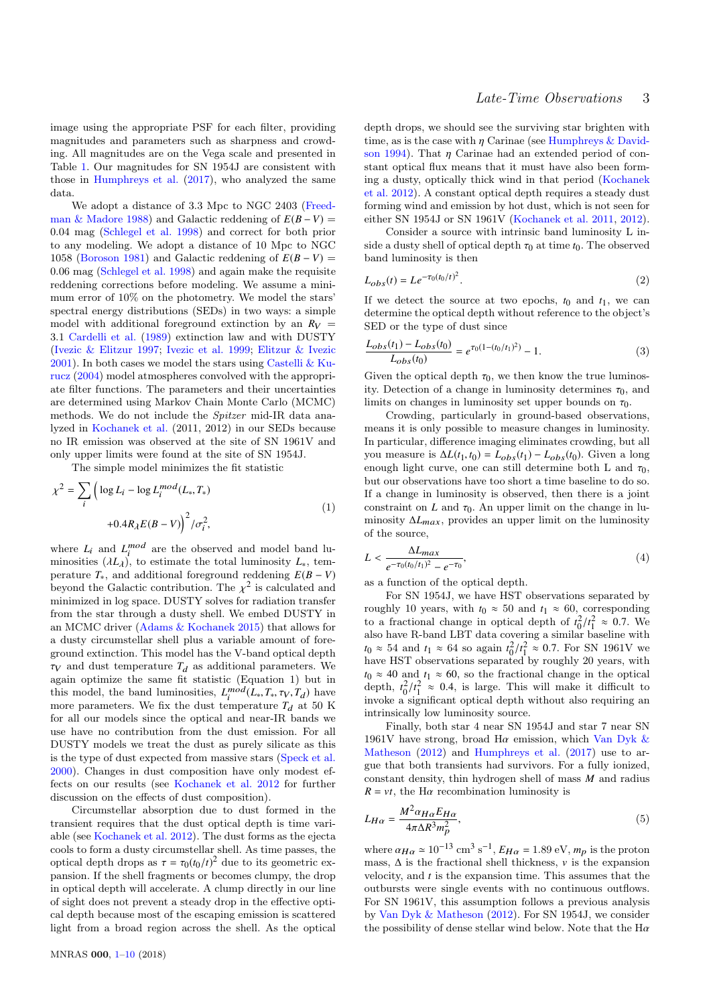image using the appropriate PSF for each filter, providing magnitudes and parameters such as sharpness and crowding. All magnitudes are on the Vega scale and presented in Table [1.](#page-3-0) Our magnitudes for SN 1954J are consistent with those in [Humphreys et al.](#page-9-8) [\(2017\)](#page-9-8), who analyzed the same data.

We adopt a distance of 3.3 Mpc to NGC 2403 [\(Freed](#page-9-24)[man & Madore](#page-9-24) [1988\)](#page-9-24) and Galactic reddening of  $E(B-V)$ 0.04 mag [\(Schlegel et al.](#page-9-25) [1998\)](#page-9-25) and correct for both prior to any modeling. We adopt a distance of 10 Mpc to NGC 1058 [\(Boroson](#page-9-26) [1981\)](#page-9-26) and Galactic reddening of  $E(B-V)$ 0.06 mag [\(Schlegel et al.](#page-9-25) [1998\)](#page-9-25) and again make the requisite reddening corrections before modeling. We assume a minimum error of 10% on the photometry. We model the stars' spectral energy distributions (SEDs) in two ways: a simple model with additional foreground extinction by an  $R_V$  = 3.1 [Cardelli et al.](#page-9-27) [\(1989\)](#page-9-27) extinction law and with DUSTY [\(Ivezic & Elitzur](#page-9-28) [1997;](#page-9-28) [Ivezic et al.](#page-9-29) [1999;](#page-9-29) [Elitzur & Ivezic](#page-9-30) [2001\)](#page-9-30). In both cases we model the stars using [Castelli & Ku](#page-9-31)[rucz](#page-9-31) [\(2004\)](#page-9-31) model atmospheres convolved with the appropriate filter functions. The parameters and their uncertainties are determined using Markov Chain Monte Carlo (MCMC) methods. We do not include the Spitzer mid-IR data analyzed in [Kochanek et al.](#page-9-7) (2011, 2012) in our SEDs because no IR emission was observed at the site of SN 1961V and only upper limits were found at the site of SN 1954J.

The simple model minimizes the fit statistic

$$
\chi^2 = \sum_{i} \left( \log L_i - \log L_i^{mod}(L_*, T_*) \right)
$$

$$
+ 0.4R_{\lambda} E(B - V) \Big)^2 / \sigma_i^2,
$$

$$
(1)
$$

where  $L_i$  and  $L_i^{mod}$  are the observed and model band luminosities  $(\lambda L_{\lambda})$ , to estimate the total luminosity  $L_{*}$ , tem-<br>persture  $T_{-}$  and additional foreground reddening  $F(R - V)$ perature  $T_*$ , and additional foreground reddening  $E(B - V)$ beyond the Galactic contribution. The  $\chi^2$  is calculated and<br>minimized in log space. DUSTV solves for radiation transfer minimized in log space. DUSTY solves for radiation transfer from the star through a dusty shell. We embed DUSTY in an MCMC driver [\(Adams & Kochanek](#page-9-32) [2015\)](#page-9-32) that allows for a dusty circumstellar shell plus a variable amount of foreground extinction. This model has the V-band optical depth  $\tau_V$  and dust temperature  $T_d$  as additional parameters. We again optimize the same fit statistic (Equation 1) but in this model, the band luminosities,  $L_i^{mod}(L_*, T_*, \tau_V, T_d)$  have<br>more parameters. We fix the dust temperature  $T_*$  at 50 K more parameters. We fix the dust temperature  $T_d$  at 50 K for all our models since the optical and near-IR bands we use have no contribution from the dust emission. For all DUSTY models we treat the dust as purely silicate as this is the type of dust expected from massive stars [\(Speck et al.](#page-9-33) [2000\)](#page-9-33). Changes in dust composition have only modest effects on our results (see [Kochanek et al.](#page-9-7) [2012](#page-9-7) for further discussion on the effects of dust composition).

Circumstellar absorption due to dust formed in the transient requires that the dust optical depth is time variable (see [Kochanek et al.](#page-9-7) [2012\)](#page-9-7). The dust forms as the ejecta cools to form a dusty circumstellar shell. As time passes, the optical depth drops as  $\tau = \tau_0(t_0/t)^2$  due to its geometric ex-<br>pansion. If the shell fragments or becomes clumpy, the drop pansion. If the shell fragments or becomes clumpy, the drop in optical depth will accelerate. A clump directly in our line of sight does not prevent a steady drop in the effective optical depth because most of the escaping emission is scattered light from a broad region across the shell. As the optical

depth drops, we should see the surviving star brighten with time, as is the case with  $\eta$  Carinae (see [Humphreys & David](#page-9-11)[son](#page-9-11) [1994\)](#page-9-11). That  $\eta$  Carinae had an extended period of constant optical flux means that it must have also been forming a dusty, optically thick wind in that period [\(Kochanek](#page-9-7) [et al.](#page-9-7) [2012\)](#page-9-7). A constant optical depth requires a steady dust forming wind and emission by hot dust, which is not seen for either SN 1954J or SN 1961V [\(Kochanek et al.](#page-9-13) [2011,](#page-9-13) [2012\)](#page-9-7).

Consider a source with intrinsic band luminosity L inside a dusty shell of optical depth  $\tau_0$  at time  $t_0$ . The observed band luminosity is then

$$
L_{obs}(t) = Le^{-\tau_0(t_0/t)^2}.
$$
\n(2)

If we detect the source at two epochs,  $t_0$  and  $t_1$ , we can determine the optical depth without reference to the object's SED or the type of dust since

$$
\frac{L_{obs}(t_1) - L_{obs}(t_0)}{L_{obs}(t_0)} = e^{\tau_0 (1 - (t_0/t_1)^2)} - 1.
$$
\n(3)

Given the optical depth  $\tau_0$ , we then know the true luminosity. Detection of a change in luminosity determines  $\tau_0$ , and limits on changes in luminosity set upper bounds on  $\tau_0$ .

Crowding, particularly in ground-based observations, means it is only possible to measure changes in luminosity. In particular, difference imaging eliminates crowding, but all you measure is  $ΔL(t_1, t_0) = L_{obs}(t_1) - L_{obs}(t_0)$ . Given a long enough light curve, one can still determine both L and  $\tau_0$ , but our observations have too short a time baseline to do so. If a change in luminosity is observed, then there is a joint constraint on *L* and  $\tau_0$ . An upper limit on the change in luminosity ∆*L*max, provides an upper limit on the luminosity of the source,

$$
L < \frac{\Delta L_{max}}{e^{-\tau_0(t_0/t_1)^2} - e^{-\tau_0}},\tag{4}
$$

as a function of the optical depth.

For SN 1954J, we have HST observations separated by roughly 10 years, with  $t_0 \approx 50$  and  $t_1 \approx 60$ , corresponding to a fractional change in optical depth of  $t_0^2/t_1^2 \approx 0.7$ . We also have R-band LBT data covering a similar baseline with  $t_0 \approx 54$  and  $t_1 \approx 64$  so again  $t_0^2/t_1^2 \approx 0.7$ . For SN 1961V we have HST observations separated by roughly 20 years, with  $t_0 \approx 40$  and  $t_1 \approx 60$ , so the fractional change in the optical depth,  $t_0^2/t_1^2 \approx 0.4$ , is large. This will make it difficult to invoke a significant optical dopth without also requiring an invoke a significant optical depth without also requiring an intrinsically low luminosity source.

Finally, both star 4 near SN 1954J and star 7 near SN 1961V have strong, broad H $\alpha$  emission, which [Van Dyk &](#page-9-22) [Matheson](#page-9-22) [\(2012\)](#page-9-22) and [Humphreys et al.](#page-9-8) [\(2017\)](#page-9-8) use to argue that both transients had survivors. For a fully ionized, constant density, thin hydrogen shell of mass *M* and radius  $R = vt$ , the H $\alpha$  recombination luminosity is

$$
L_{H\alpha} = \frac{M^2 \alpha_{H\alpha} E_{H\alpha}}{4\pi \Delta R^3 m_p^2},\tag{5}
$$

where  $\alpha_{H\alpha} \approx 10^{-13}$  cm<sup>3</sup> s<sup>-1</sup>,  $E_{H\alpha} = 1.89$  eV,  $m_p$  is the proton<br>mass. A is the fractional shell thickness, y is the expansion mass,  $\Delta$  is the fractional shell thickness, v is the expansion velocity, and *t* is the expansion time. This assumes that the outbursts were single events with no continuous outflows. For SN 1961V, this assumption follows a previous analysis by [Van Dyk & Matheson](#page-9-22) [\(2012\)](#page-9-22). For SN 1954J, we consider the possibility of dense stellar wind below. Note that the  $Ha$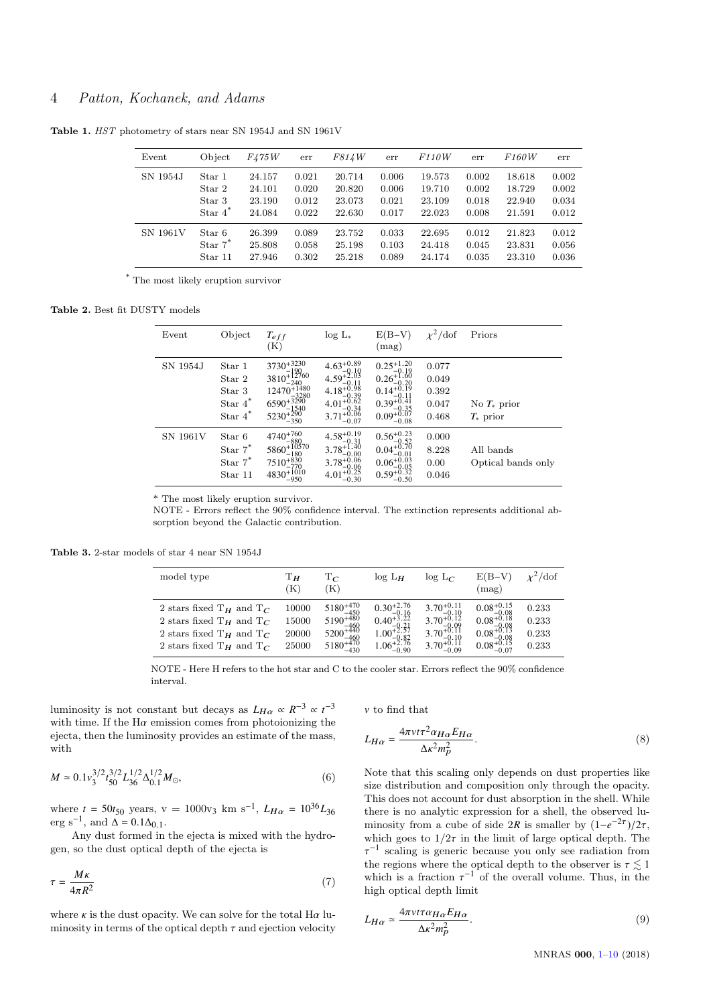# 4 Patton, Kochanek, and Adams

<span id="page-3-0"></span>Table 1. HST photometry of stars near SN 1954J and SN 1961V

| Event    | Object     | F475W  | err   | F814W  | err   | <i>F110W</i> | err   | <i>F160W</i> | err   |
|----------|------------|--------|-------|--------|-------|--------------|-------|--------------|-------|
| SN 1954J | Star 1     | 24.157 | 0.021 | 20.714 | 0.006 | 19.573       | 0.002 | 18.618       | 0.002 |
|          | Star 2     | 24.101 | 0.020 | 20.820 | 0.006 | 19.710       | 0.002 | 18.729       | 0.002 |
|          | Star 3     | 23.190 | 0.012 | 23.073 | 0.021 | 23.109       | 0.018 | 22.940       | 0.034 |
|          | Star $4^*$ | 24.084 | 0.022 | 22.630 | 0.017 | 22.023       | 0.008 | 21.591       | 0.012 |
| SN 1961V | Star 6     | 26.399 | 0.089 | 23.752 | 0.033 | 22.695       | 0.012 | 21.823       | 0.012 |
|          | Star $7^*$ | 25.808 | 0.058 | 25.198 | 0.103 | 24.418       | 0.045 | 23.831       | 0.056 |
|          | Star 11    | 27.946 | 0.302 | 25.218 | 0.089 | 24.174       | 0.035 | 23.310       | 0.036 |

\* The most likely eruption survivor

## <span id="page-3-1"></span>Table 2. Best fit DUSTY models

| Event           | Object                                                              | $T_{eff}$<br>(K)                                                                                                                    | $log L_*$                                                                                                                                                                    | $E(B-V)$<br>(mag)                                                                                                              | $\chi^2$ /dof                             | Priors                          |
|-----------------|---------------------------------------------------------------------|-------------------------------------------------------------------------------------------------------------------------------------|------------------------------------------------------------------------------------------------------------------------------------------------------------------------------|--------------------------------------------------------------------------------------------------------------------------------|-------------------------------------------|---------------------------------|
| SN 1954J        | Star 1<br>Star 2<br>Star 3<br>Star $\boldsymbol{4}^*$<br>Star $4^*$ | $3730^{+3230}_{-190}$<br>3810 <sup>+12760</sup><br>$-240$<br>$12470^{+1480}_{-3280}$ $6590^{+3290}_{-1540}$<br>$5230^{+290}_{-350}$ | 4.63 <sup>+0.89</sup><br>4.59 <sup>+2.03</sup><br>4.18 <sup>+0.98</sup><br>4.18 <sup>+0.98</sup><br>4.01 <sup>+0.62</sup><br>4.01 <sup>+0.62</sup><br>$3.71_{-0.07}^{+0.06}$ | $0.25_{-0.19}^{+1.20}$<br>$0.26_{-0.20}^{+1.60}$<br>$0.14_{-0.11}^{+0.19}$<br>$0.39_{-0.35}^{+0.41}$<br>$0.09_{-0.08}^{+0.07}$ | 0.077<br>0.049<br>0.392<br>0.047<br>0.468 | No $T_*$ prior<br>$T_*$ prior   |
| <b>SN 1961V</b> | Star 6<br>Star $7^*$<br>Star $7^*$<br>Star 11                       | $4740^{+760}_{-880}$<br>$5860^{+10570}_{-180}$ $7510^{+830}_{-770}$ $4830^{+1010}_{-950}$                                           | $4.58_{-0.31}^{+0.19}$<br>$3.78^{+1.40}_{-0.00}$<br>$3.78^{+0.06}_{-0.06}$<br>$4.01^{+0.25}_{-0.30}$                                                                         | $0.56_{-0.52}^{+0.23}$<br>$0.04_{-0.01}^{+0.70}$ $0.06_{-0.05}^{+0.03}$ $0.59_{-0.50}^{+0.32}$                                 | 0.000<br>8.228<br>0.00<br>0.046           | All bands<br>Optical bands only |

\* The most likely eruption survivor.

NOTE - Errors reflect the 90% confidence interval. The extinction represents additional absorption beyond the Galactic contribution.

<span id="page-3-2"></span>Table 3. 2-star models of star 4 near SN 1954J

| model type                                                                                                                       | Τн<br>K)                         | $\mathrm{T}_{C}$<br>(K)                                                                                       | $log L_H$                                                                                                          | $\log L_C$                                                                                                         | $E(B-V)$<br>(mag)                                                                                           | $v^2$ /dof                       |
|----------------------------------------------------------------------------------------------------------------------------------|----------------------------------|---------------------------------------------------------------------------------------------------------------|--------------------------------------------------------------------------------------------------------------------|--------------------------------------------------------------------------------------------------------------------|-------------------------------------------------------------------------------------------------------------|----------------------------------|
| 2 stars fixed $T_H$ and $T_C$<br>2 stars fixed $T_H$ and $T_C$<br>2 stars fixed $T_H$ and $T_C$<br>2 stars fixed $T_H$ and $T_C$ | 10000<br>15000<br>20000<br>25000 | $5180^{+470}$<br>$5180^{+450}_{-450}$<br>$5190^{+480}_{-460}$<br>$5200^{+440}_{-460}$<br>$5180^{+470}_{-430}$ | $\substack{0.30^{+2.76}_{-0.16} \\ 0.40^{+3.22}_{-0.21} \\ 1.00^{+2.57}_{-0.82}_{-0.82} \\ 1.06^{+2.76}_{-0.90} }$ | $3.70^{+0.11}_{-0.10}$<br>$3.70^{+0.12}_{-0.09}$<br>$3.70^{+0.11}_{-0.11}$<br>$-0.10$<br>$3.70^{+0.11}$<br>$-0.09$ | $0.08^{+0.15}_{-0.08}$<br>$0.08^{+0.18}_{-0.08}$<br>$0.08_{-0.08}^{+0.13}_{-0.08}$<br>0.08 <sup>+0.15</sup> | 0.233<br>0.233<br>0.233<br>0.233 |

NOTE - Here H refers to the hot star and C to the cooler star. Errors reflect the 90% confidence interval.

luminosity is not constant but decays as  $L_{H\alpha} \propto R^{-3} \propto t^{-3}$ <br>with time If the H $\alpha$  emission comes from photoionizing the with time. If the  $H\alpha$  emission comes from photoionizing the ejecta, then the luminosity provides an estimate of the mass, with

$$
M \simeq 0.1 v_3^{3/2} t_{50}^{3/2} L_{36}^{1/2} \Delta_{0.1}^{1/2} M_{\odot},
$$
 (6)

where  $t = 50t_{50}$  years,  $v = 1000v_3$  km s<sup>-1</sup>,  $L_{H\alpha} = 10^{36}L_{36}$ <br>org s<sup>-1</sup> and  $\Lambda = 0.1\Lambda_{36}$ . erg s<sup>-1</sup>, and  $\Delta = 0.1\Delta_{0.1}$ .<br>Any dust formed in

Any dust formed in the ejecta is mixed with the hydrogen, so the dust optical depth of the ejecta is

$$
\tau = \frac{M\kappa}{4\pi R^2} \tag{7}
$$

where  $\kappa$  is the dust opacity. We can solve for the total  $H\alpha$  luminosity in terms of the optical depth  $\tau$  and ejection velocity

 $v$  to find that

$$
L_{H\alpha} = \frac{4\pi v t \tau^2 \alpha_{H\alpha} E_{H\alpha}}{\Delta \kappa^2 m_p^2}.
$$
\n(8)

Note that this scaling only depends on dust properties like size distribution and composition only through the opacity. This does not account for dust absorption in the shell. While there is no analytic expression for a shell, the observed luminosity from a cube of side  $2R$  is smaller by  $(1-e^{-2\tau})/2\tau$ ,<br>which goes to  $1/2\tau$  in the limit of large optical dopth. The which goes to  $1/2\tau$  in the limit of large optical depth. The the regions where the optical depth to the observer is  $\tau \lesssim 1$ <br>which is a fraction  $\tau^{-1}$  of the overall volume. Thus, in the −1 scaling is generic because you only see radiation from which is a fraction  $\tau^{-1}$  of the overall volume. Thus, in the high optical donth limit high optical depth limit

$$
L_{H\alpha} \simeq \frac{4\pi\nu\iota\tau\alpha_{H\alpha}E_{H\alpha}}{\Delta\kappa^2 m_p^2}.\tag{9}
$$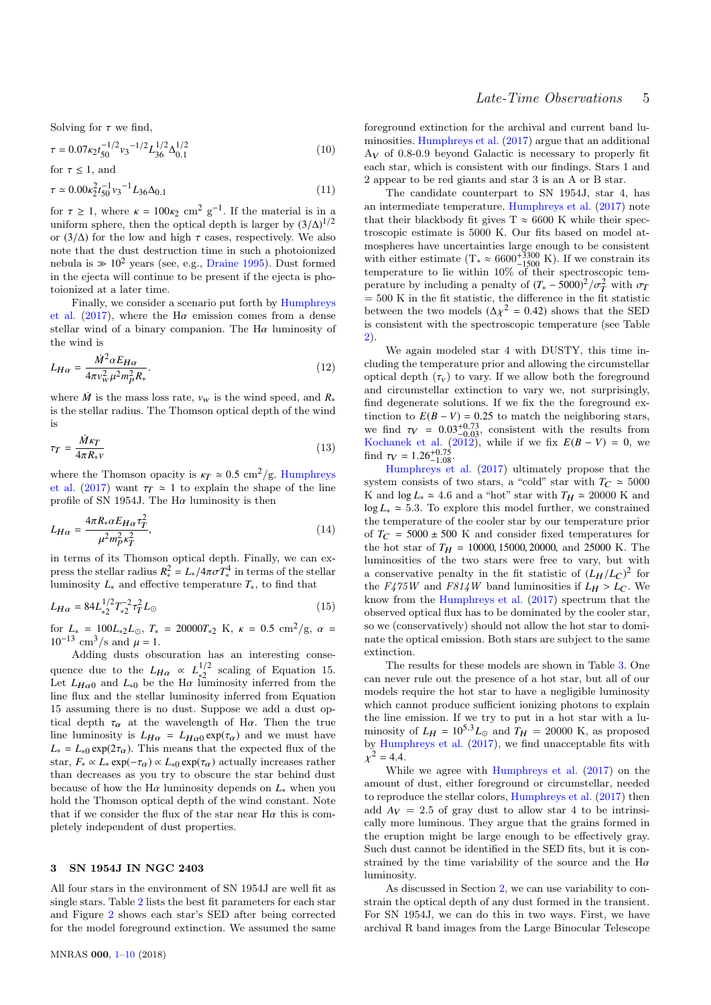Solving for  $\tau$  we find,

$$
\tau = 0.07\kappa_2 t_{50}^{-1/2} v_3^{-1/2} L_{36}^{1/2} \Delta_{0.1}^{1/2}
$$
\n
$$
\text{for } \tau \le 1, \text{ and}
$$
\n(10)

$$
\tau \simeq 0.00 \kappa_2^2 t_{50}^{-1} v_3^{-1} L_{36} \Delta_{0.1}
$$
\n(11)

for  $\tau \geq 1$ , where  $\kappa = 100\kappa_2$  cm<sup>2</sup> g<sup>-1</sup>. If the material is in a uniform sphere, then the optical dopth is larger by  $(3/\Lambda)^{1/2}$ uniform sphere, then the optical depth is larger by  $(3/\Delta)^{1/2}$ or  $(3/\Delta)$  for the low and high  $\tau$  cases, respectively. We also note that the dust destruction time in such a photoionized nebula is  $\gg 10^2$  years (see, e.g., [Draine](#page-9-34) [1995\)](#page-9-34). Dust formed in the ejecta will continue to be present if the ejecta is photoionized at a later time.

Finally, we consider a scenario put forth by [Humphreys](#page-9-8) [et al.](#page-9-8) [\(2017\)](#page-9-8), where the H $\alpha$  emission comes from a dense stellar wind of a binary companion. The  $H\alpha$  luminosity of the wind is

$$
L_{H\alpha} = \frac{\dot{M}^2 \alpha E_{H\alpha}}{4\pi v_w^2 \mu^2 m_p^2 R_*}.
$$
\n(12)

where  $\dot{M}$  is the mass loss rate,  $v_w$  is the wind speed, and  $R_*$ is the stellar radius. The Thomson optical depth of the wind is

$$
\tau_T = \frac{\dot{M}\kappa_T}{4\pi R_* \nu} \tag{13}
$$

where the Thomson opacity is  $\kappa_T \simeq 0.5 \text{ cm}^2/\text{g}$ . [Humphreys](#page-9-8) [et al.](#page-9-8) [\(2017\)](#page-9-8) want  $\tau_T \approx 1$  to explain the shape of the line profile of SN 1954J. The  $Ha$  luminosity is then

$$
L_{H\alpha} = \frac{4\pi R_{*}\alpha E_{H\alpha}\tau_T^2}{\mu^2 m_P^2 \kappa_T^2},\tag{14}
$$

in terms of its Thomson optical depth. Finally, we can express the stellar radius  $R_*^2 = L_* / 4\pi \sigma T_*^4$  in terms of the stellar<br>luminosity *L* and effective temperature *T* to find that luminosity  $L_*$  and effective temperature  $T_*$ , to find that

$$
L_{H\alpha} = 84L_{*2}^{1/2}T_{*2}^{-2}\tau_T^2L_{\odot}
$$
\n(15)

for  $L_* = 100L_{*2}L_{\odot}$ ,  $T_* = 20000T_{*2}$  K,  $\kappa = 0.5$  cm<sup>2</sup>/g,  $\alpha = 10^{-13}$  cm<sup>3</sup>/s and  $\mu = 1$  $10^{-13}$  cm<sup>3</sup>/s and  $\mu = 1$ .

Adding dusts obscuration has an interesting consequence due to the  $L_{H\alpha} \propto L_{*2}^{1/2}$ <br>Let  $L_{\alpha}$  e and  $L_{\beta}$  be the H $\alpha$  lux  $\frac{1}{2}$  scaling of Equation 15. Let  $L_{H\alpha0}$  and  $L_{*0}$  be the H $\alpha$  luminosity inferred from the line flux and the stellar luminosity inferred from Equation line flux and the stellar luminosity inferred from Equation 15 assuming there is no dust. Suppose we add a dust optical depth  $\tau_{\alpha}$  at the wavelength of H $\alpha$ . Then the true line luminosity is  $L_{H\alpha} = L_{H\alpha0} \exp(\tau_{\alpha})$  and we must have  $L_* = L_{*0} \exp(2\tau_\alpha)$ . This means that the expected flux of the star,  $F_* \propto L_* \exp(-\tau_\alpha) \propto L_{*0} \exp(\tau_\alpha)$  actually increases rather than decreases as you try to obscure the star behind dust because of how the H $\alpha$  luminosity depends on  $L_*$  when you hold the Thomson optical depth of the wind constant. Note that if we consider the flux of the star near  $H\alpha$  this is completely independent of dust properties.

#### <span id="page-4-0"></span>3 SN 1954J IN NGC 2403

All four stars in the environment of SN 1954J are well fit as single stars. Table [2](#page-3-1) lists the best fit parameters for each star and Figure [2](#page-5-0) shows each star's SED after being corrected for the model foreground extinction. We assumed the same

foreground extinction for the archival and current band luminosities. [Humphreys et al.](#page-9-8) [\(2017\)](#page-9-8) argue that an additional  $A_V$  of 0.8-0.9 beyond Galactic is necessary to properly fit each star, which is consistent with our findings. Stars 1 and 2 appear to be red giants and star 3 is an A or B star.

The candidate counterpart to SN 1954J, star 4, has an intermediate temperature. [Humphreys et al.](#page-9-8) [\(2017\)](#page-9-8) note that their blackbody fit gives  $T \approx 6600$  K while their spectroscopic estimate is 5000 K. Our fits based on model atmospheres have uncertainties large enough to be consistent with either estimate  $(T_* \approx 6600^{+3300}_{-1500} \text{ K})$ . If we constrain its temperature to lie within 10% of their spectroscopic temperature by including a penalty of  $(T_* - 5000)^2 / \sigma_T^2$  with  $\sigma_T$ <br>- 500 K in the fit statistic the difference in the fit statistic  $= 500$  K in the fit statistic, the difference in the fit statistic between the two models  $(\Delta \chi^2 = 0.42)$  shows that the SED<br>is consistent with the spectroscopic temperature (see Table is consistent with the spectroscopic temperature (see Table [2\)](#page-3-1).

We again modeled star 4 with DUSTY, this time including the temperature prior and allowing the circumstellar optical depth  $(\tau_v)$  to vary. If we allow both the foreground and circumstellar extinction to vary we, not surprisingly, find degenerate solutions. If we fix the the foreground extinction to  $E(B - V) = 0.25$  to match the neighboring stars, tinction to  $E(B - V) = 0.25$  to match the neighboring stars,<br>we find  $\tau_V = 0.03^{+0.73}$  consistent with the results from we find  $\tau_V = 0.03^{+0.73}_{-0.03}$ , consistent with the results from [Kochanek et al.](#page-9-7) [\(2012\)](#page-9-7), while if we fix  $E(B - V) = 0$ , we find  $\tau_V = 1.26^{+0.75}_{-1.08}$ .<br>Humphreys et

[Humphreys et al.](#page-9-8) [\(2017\)](#page-9-8) ultimately propose that the system consists of two stars, a "cold" star with  $T_C \approx 5000$ K and  $\log L_* \approx 4.6$  and a "hot" star with  $T_H \approx 20000$  K and log  $L_* \approx 5.3$ . To explore this model further, we constrained the temperature of the cooler star by our temperature prior of  $T_C = 5000 \pm 500$  K and consider fixed temperatures for the hot star of  $T_H = 10000, 15000, 20000,$  and 25000 K. The luminosities of the two stars were free to vary, but with a conservative penalty in the fit statistic of  $(L_H/L_C)^2$  for the  $F_475W$  and  $F814W$  band luminosities if  $L_H > L_C$ . We know from the [Humphreys et al.](#page-9-8) [\(2017\)](#page-9-8) spectrum that the observed optical flux has to be dominated by the cooler star, so we (conservatively) should not allow the hot star to dominate the optical emission. Both stars are subject to the same extinction.

The results for these models are shown in Table [3.](#page-3-2) One can never rule out the presence of a hot star, but all of our models require the hot star to have a negligible luminosity which cannot produce sufficient ionizing photons to explain the line emission. If we try to put in a hot star with a luminosity of  $L_H = 10^{5.3} L_{\odot}$  and  $T_H = 20000$  K, as proposed by [Humphreys et al.](#page-9-8) [\(2017\)](#page-9-8), we find unacceptable fits with  $\chi^2 = 4.4.$ 

While we agree with [Humphreys et al.](#page-9-8) [\(2017\)](#page-9-8) on the amount of dust, either foreground or circumstellar, needed to reproduce the stellar colors, [Humphreys et al.](#page-9-8) [\(2017\)](#page-9-8) then add  $A_V = 2.5$  of gray dust to allow star 4 to be intrinsically more luminous. They argue that the grains formed in the eruption might be large enough to be effectively gray. Such dust cannot be identified in the SED fits, but it is constrained by the time variability of the source and the Hα luminosity.

As discussed in Section [2,](#page-1-1) we can use variability to constrain the optical depth of any dust formed in the transient. For SN 1954J, we can do this in two ways. First, we have archival R band images from the Large Binocular Telescope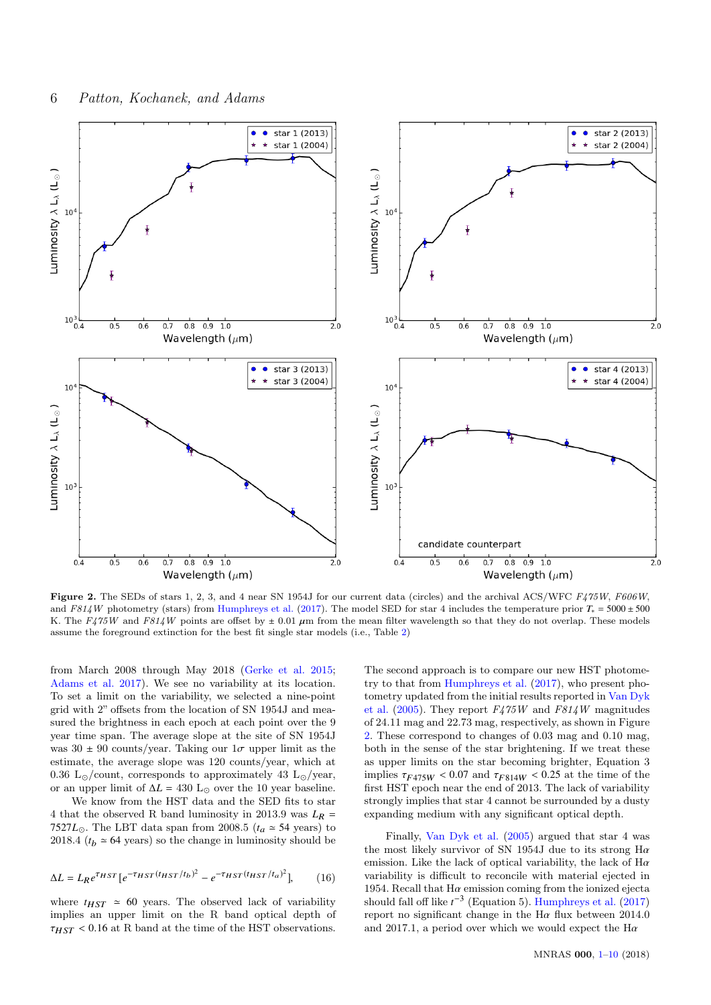

<span id="page-5-0"></span>Figure 2. The SEDs of stars 1, 2, 3, and 4 near SN 1954J for our current data (circles) and the archival ACS/WFC F475W, F606W, and F814W photometry (stars) from [Humphreys et al.](#page-9-8) [\(2017\)](#page-9-8). The model SED for star 4 includes the temperature prior  $T_* = 5000 \pm 500$ K. The F475W and F814W points are offset by  $\pm$  0.01  $\mu$ m from the mean filter wavelength so that they do not overlap. These models assume the foreground extinction for the best fit single star models (i.e., Table [2\)](#page-3-1)

from March 2008 through May 2018 [\(Gerke et al.](#page-9-35) [2015;](#page-9-35) [Adams et al.](#page-9-36) [2017\)](#page-9-36). We see no variability at its location. To set a limit on the variability, we selected a nine-point grid with 2" offsets from the location of SN 1954J and measured the brightness in each epoch at each point over the 9 year time span. The average slope at the site of SN 1954J was  $30 \pm 90$  counts/year. Taking our  $1\sigma$  upper limit as the estimate, the average slope was 120 counts/year, which at 0.36 L<sub> $\odot$ </sub>/count, corresponds to approximately 43 L $_{\odot}$ /year, or an upper limit of  $\Delta L = 430$  L<sub>☉</sub> over the 10 year baseline.

We know from the HST data and the SED fits to star 4 that the observed R band luminosity in 2013.9 was  $L_R$  = 7527 $L_{\odot}$ . The LBT data span from 2008.5 ( $t_a \approx 54$  years) to 2018.4 ( $t_b \approx 64$  years) so the change in luminosity should be

$$
\Delta L = L_R e^{\tau_{HST}} \left[ e^{-\tau_{HST}(t_{HST}/t_b)^2} - e^{-\tau_{HST}(t_{HST}/t_a)^2} \right],\tag{16}
$$

where  $t_{HST} \approx 60$  years. The observed lack of variability implies an upper limit on the R band optical depth of  $\tau_{HST}$  < 0.16 at R band at the time of the HST observations.

The second approach is to compare our new HST photometry to that from [Humphreys et al.](#page-9-8) [\(2017\)](#page-9-8), who present photometry updated from the initial results reported in [Van Dyk](#page-9-6) [et al.](#page-9-6) [\(2005\)](#page-9-6). They report  $F475W$  and  $F814W$  magnitudes of 24.11 mag and 22.73 mag, respectively, as shown in Figure [2.](#page-5-0) These correspond to changes of 0.03 mag and 0.10 mag, both in the sense of the star brightening. If we treat these as upper limits on the star becoming brighter, Equation 3 implies  $\tau_{F475W}$  < 0.07 and  $\tau_{F814W}$  < 0.25 at the time of the first HST epoch near the end of 2013. The lack of variability strongly implies that star 4 cannot be surrounded by a dusty expanding medium with any significant optical depth.

Finally, [Van Dyk et al.](#page-9-6) [\(2005\)](#page-9-6) argued that star 4 was the most likely survivor of SN 1954J due to its strong Hα emission. Like the lack of optical variability, the lack of  $H\alpha$ variability is difficult to reconcile with material ejected in 1954. Recall that  $H\alpha$  emission coming from the ionized ejecta should fall off like  $t^{-3}$  (Equation 5). [Humphreys et al.](#page-9-8) [\(2017\)](#page-9-8) report no significant change in the H $\alpha$  flux between 2014.0 and 2017.1, a period over which we would expect the  $H\alpha$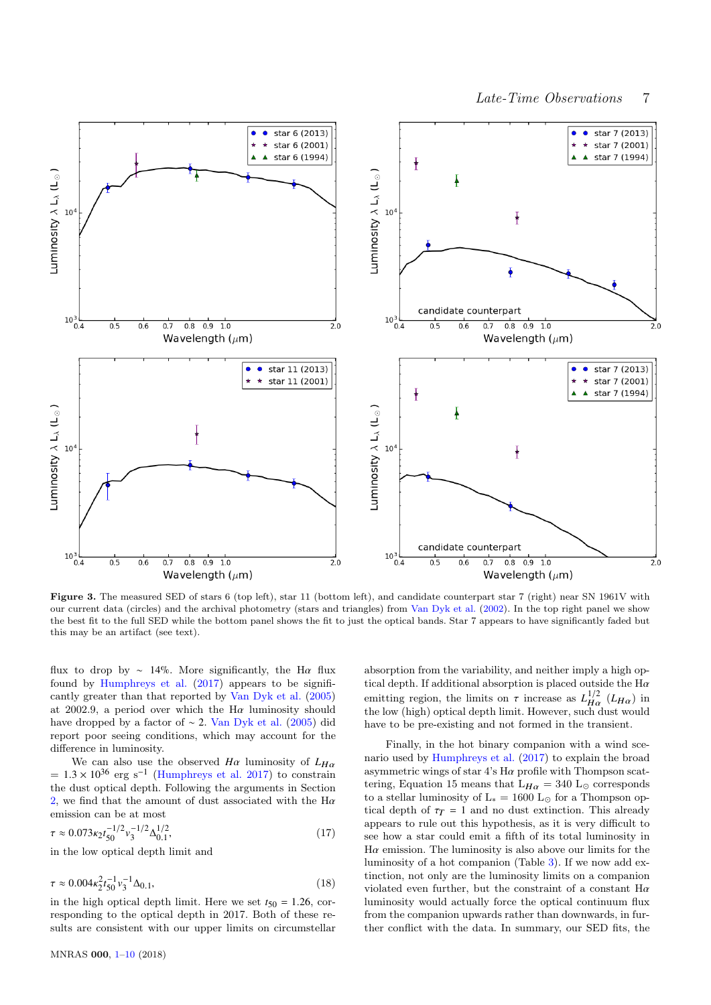

<span id="page-6-0"></span>Figure 3. The measured SED of stars 6 (top left), star 11 (bottom left), and candidate counterpart star 7 (right) near SN 1961V with our current data (circles) and the archival photometry (stars and triangles) from [Van Dyk et al.](#page-9-3) [\(2002\)](#page-9-3). In the top right panel we show the best fit to the full SED while the bottom panel shows the fit to just the optical bands. Star 7 appears to have significantly faded but this may be an artifact (see text).

flux to drop by ∼ 14%. More significantly, the H $\alpha$  flux found by [Humphreys et al.](#page-9-8) [\(2017\)](#page-9-8) appears to be significantly greater than that reported by [Van Dyk et al.](#page-9-6) [\(2005\)](#page-9-6) at 2002.9, a period over which the H $\alpha$  luminosity should have dropped by a factor of  $\sim$  2. [Van Dyk et al.](#page-9-6) [\(2005\)](#page-9-6) did report poor seeing conditions, which may account for the difference in luminosity.

We can also use the observed  $H\alpha$  luminosity of  $L_{H\alpha}$  $= 1.3 \times 10^{36}$  erg s<sup>-1</sup> [\(Humphreys et al.](#page-9-8) [2017\)](#page-9-8) to constrain<br>the dust optical dopth. Following the arguments in Section the dust optical depth. Following the arguments in Section [2,](#page-1-1) we find that the amount of dust associated with the  $H\alpha$ emission can be at most

$$
\tau \approx 0.073 \kappa_2 t_{50}^{-1/2} v_3^{-1/2} \Delta_{0.1}^{1/2},
$$
  
in the low optical depth limit and (17)

$$
\tau \approx 0.004 \kappa_2^2 t_{50}^{-1} v_3^{-1} \Delta_{0.1},\tag{18}
$$

in the high optical depth limit. Here we set  $t_{50} = 1.26$ , corresponding to the optical depth in 2017. Both of these results are consistent with our upper limits on circumstellar

absorption from the variability, and neither imply a high optical depth. If additional absorption is placed outside the  $\mathrm{H}\alpha$ emitting region, the limits on  $\tau$  increase as  $L_{H\alpha}^{1/2}$  ( $L_{H\alpha}$ ) in the low (bigh) optical dopth limit. However, such dust would the low (high) optical depth limit. However, such dust would have to be pre-existing and not formed in the transient.

Finally, in the hot binary companion with a wind scenario used by [Humphreys et al.](#page-9-8) [\(2017\)](#page-9-8) to explain the broad asymmetric wings of star  $4's$  H $\alpha$  profile with Thompson scattering, Equation 15 means that  $L_{H\alpha} = 340$  L<sub>o</sub> corresponds to a stellar luminosity of  $\rm L_{*} = 1600~L_{\odot}$  for a Thompson optical depth of  $\tau_T = 1$  and no dust extinction. This already appears to rule out this hypothesis, as it is very difficult to see how a star could emit a fifth of its total luminosity in  $H\alpha$  emission. The luminosity is also above our limits for the luminosity of a hot companion (Table [3\)](#page-3-2). If we now add extinction, not only are the luminosity limits on a companion violated even further, but the constraint of a constant Hα luminosity would actually force the optical continuum flux from the companion upwards rather than downwards, in further conflict with the data. In summary, our SED fits, the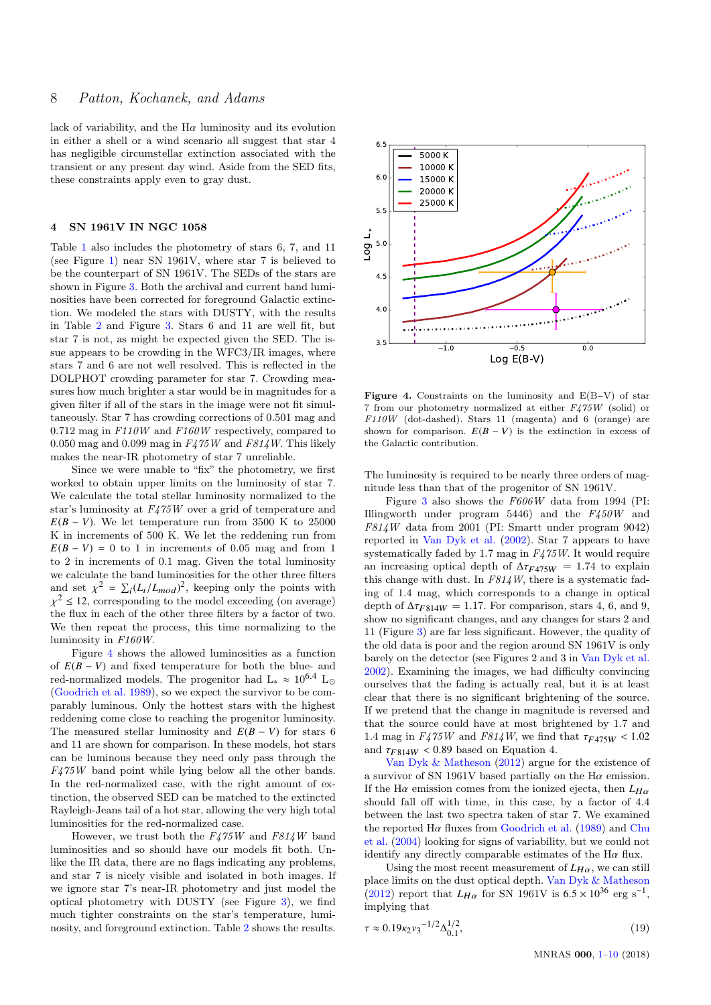lack of variability, and the  $H\alpha$  luminosity and its evolution in either a shell or a wind scenario all suggest that star 4 has negligible circumstellar extinction associated with the transient or any present day wind. Aside from the SED fits, these constraints apply even to gray dust.

## <span id="page-7-0"></span>4 SN 1961V IN NGC 1058

Table [1](#page-3-0) also includes the photometry of stars 6, 7, and 11 (see Figure [1\)](#page-1-0) near SN 1961V, where star 7 is believed to be the counterpart of SN 1961V. The SEDs of the stars are shown in Figure [3.](#page-6-0) Both the archival and current band luminosities have been corrected for foreground Galactic extinction. We modeled the stars with DUSTY, with the results in Table [2](#page-3-1) and Figure [3.](#page-6-0) Stars 6 and 11 are well fit, but star 7 is not, as might be expected given the SED. The issue appears to be crowding in the WFC3/IR images, where stars 7 and 6 are not well resolved. This is reflected in the DOLPHOT crowding parameter for star 7. Crowding measures how much brighter a star would be in magnitudes for a given filter if all of the stars in the image were not fit simultaneously. Star 7 has crowding corrections of 0.501 mag and  $0.712$  mag in  $F110W$  and  $F160W$  respectively, compared to 0.050 mag and 0.099 mag in  $F475W$  and  $F814W$ . This likely makes the near-IR photometry of star 7 unreliable.

Since we were unable to "fix" the photometry, we first worked to obtain upper limits on the luminosity of star 7. We calculate the total stellar luminosity normalized to the star's luminosity at F475W over a grid of temperature and  $E(B - V)$ . We let temperature run from 3500 K to 25000 K in increments of 500 K. We let the reddening run from  $E(B - V) = 0$  to 1 in increments of 0.05 mag and from 1 to 2 in increments of 0.1 mag. Given the total luminosity we calculate the band luminosities for the other three filters and set  $\chi^2 = \sum_i (L_i/L_{mod})^2$ , keeping only the points with  $\chi$  =  $\sim$ , order parameters are the state interacting  $(32 \text{ m})$  the flux in each of the other three filters by a factor of two.  $2 \leq 12$ , corresponding to the model exceeding (on average) We then repeat the process, this time normalizing to the luminosity in F160W.

Figure [4](#page-7-1) shows the allowed luminosities as a function of *E*(*B* − *V*) and fixed temperature for both the blue- and red-normalized models. The progenitor had  $L_* \approx 10^{6.4}$  L<sub>o</sub> [\(Goodrich et al.](#page-9-10) [1989\)](#page-9-10), so we expect the survivor to be comparably luminous. Only the hottest stars with the highest reddening come close to reaching the progenitor luminosity. The measured stellar luminosity and  $E(B - V)$  for stars 6 and 11 are shown for comparison. In these models, hot stars can be luminous because they need only pass through the  $F475W$  band point while lying below all the other bands. In the red-normalized case, with the right amount of extinction, the observed SED can be matched to the extincted Rayleigh-Jeans tail of a hot star, allowing the very high total luminosities for the red-normalized case.

However, we trust both the  $F475W$  and  $F814W$  band luminosities and so should have our models fit both. Unlike the IR data, there are no flags indicating any problems, and star 7 is nicely visible and isolated in both images. If we ignore star 7's near-IR photometry and just model the optical photometry with DUSTY (see Figure [3\)](#page-6-0), we find much tighter constraints on the star's temperature, luminosity, and foreground extinction. Table [2](#page-3-1) shows the results.



<span id="page-7-1"></span>Figure 4. Constraints on the luminosity and E(B−V) of star 7 from our photometry normalized at either  $F475W$  (solid) or F110W (dot-dashed). Stars 11 (magenta) and 6 (orange) are shown for comparison.  $E(B - V)$  is the extinction in excess of the Galactic contribution.

The luminosity is required to be nearly three orders of magnitude less than that of the progenitor of SN 1961V.

Figure [3](#page-6-0) also shows the  $F606W$  data from 1994 (PI: Illingworth under program 5446) and the F450W and F814W data from 2001 (PI: Smartt under program 9042) reported in [Van Dyk et al.](#page-9-3) [\(2002\)](#page-9-3). Star 7 appears to have systematically faded by 1.7 mag in  $F\text{/}475W$ . It would require an increasing optical depth of  $\Delta \tau_{F475W} = 1.74$  to explain this change with dust. In  $F814W$ , there is a systematic fading of 1.4 mag, which corresponds to a change in optical depth of  $\Delta \tau_{F814W} = 1.17$ . For comparison, stars 4, 6, and 9, show no significant changes, and any changes for stars 2 and 11 (Figure [3\)](#page-6-0) are far less significant. However, the quality of the old data is poor and the region around SN 1961V is only barely on the detector (see Figures 2 and 3 in [Van Dyk et al.](#page-9-3) [2002\)](#page-9-3). Examining the images, we had difficulty convincing ourselves that the fading is actually real, but it is at least clear that there is no significant brightening of the source. If we pretend that the change in magnitude is reversed and that the source could have at most brightened by 1.7 and 1.4 mag in  $F475W$  and  $F814W$ , we find that  $\tau_{F475W}$  < 1.02 and  $\tau_{F814W}$  < 0.89 based on Equation 4.

[Van Dyk & Matheson](#page-9-22) [\(2012\)](#page-9-22) argue for the existence of a survivor of SN 1961V based partially on the H $\alpha$  emission. If the H $\alpha$  emission comes from the ionized ejecta, then  $L_{H\alpha}$ should fall off with time, in this case, by a factor of 4.4 between the last two spectra taken of star 7. We examined the reported  $Ha$  fluxes from [Goodrich et al.](#page-9-10) [\(1989\)](#page-9-10) and [Chu](#page-9-17) [et al.](#page-9-17) [\(2004\)](#page-9-17) looking for signs of variability, but we could not identify any directly comparable estimates of the  $Ha$  flux.

Using the most recent measurement of  $L_{H\alpha}$ , we can still place limits on the dust optical depth. [Van Dyk & Matheson](#page-9-22) [\(2012\)](#page-9-22) report that  $L_{H\alpha}$  for SN 1961V is  $6.5 \times 10^{36}$  erg s<sup>-1</sup>,<br>implying that implying that

$$
\tau \approx 0.19 \kappa_2 v_3^{-1/2} \Delta_{0.1}^{1/2},\tag{19}
$$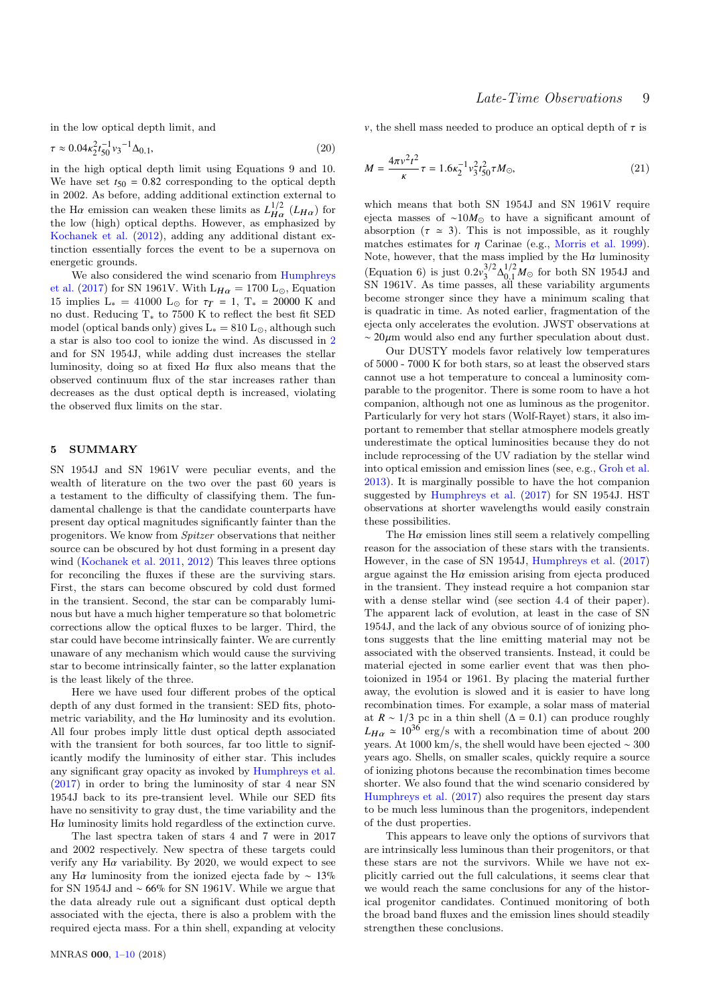in the low optical depth limit, and

$$
\tau \approx 0.04 \kappa_2^2 t_{50}^{-1} v_3^{-1} \Delta_{0.1},\tag{20}
$$

in the high optical depth limit using Equations 9 and 10. We have set  $t_{50} = 0.82$  corresponding to the optical depth in 2002. As before, adding additional extinction external to the H $\alpha$  emission can weaken these limits as  $L_{H\alpha}^{1/2}$  ( $L_{H\alpha}$ ) for the low (bigh) optical denths. However, as emphasized by the low (high) optical depths. However, as emphasized by [Kochanek et al.](#page-9-7) [\(2012\)](#page-9-7), adding any additional distant extinction essentially forces the event to be a supernova on energetic grounds.

We also considered the wind scenario from [Humphreys](#page-9-8) [et al.](#page-9-8) [\(2017\)](#page-9-8) for SN 1961V. With  $L_{H\alpha} = 1700$  L<sub>☉</sub>, Equation 15 implies L<sub>∗</sub> = 41000 L<sub>☉</sub> for  $τ_T = 1$ , T<sub>∗</sub> = 20000 K and no dust. Reducing T∗ to 7500 K to reflect the best fit SED model (optical bands only) gives  $L_* = 810 L_{\odot}$ , although such a star is also too cool to ionize the wind. As discussed in [2](#page-1-1) and for SN 1954J, while adding dust increases the stellar luminosity, doing so at fixed  $H\alpha$  flux also means that the observed continuum flux of the star increases rather than decreases as the dust optical depth is increased, violating the observed flux limits on the star.

## <span id="page-8-0"></span>5 SUMMARY

SN 1954J and SN 1961V were peculiar events, and the wealth of literature on the two over the past 60 years is a testament to the difficulty of classifying them. The fundamental challenge is that the candidate counterparts have present day optical magnitudes significantly fainter than the progenitors. We know from Spitzer observations that neither source can be obscured by hot dust forming in a present day wind [\(Kochanek et al.](#page-9-13) [2011,](#page-9-13) [2012\)](#page-9-7) This leaves three options for reconciling the fluxes if these are the surviving stars. First, the stars can become obscured by cold dust formed in the transient. Second, the star can be comparably luminous but have a much higher temperature so that bolometric corrections allow the optical fluxes to be larger. Third, the star could have become intrinsically fainter. We are currently unaware of any mechanism which would cause the surviving star to become intrinsically fainter, so the latter explanation is the least likely of the three.

Here we have used four different probes of the optical depth of any dust formed in the transient: SED fits, photometric variability, and the  $H\alpha$  luminosity and its evolution. All four probes imply little dust optical depth associated with the transient for both sources, far too little to significantly modify the luminosity of either star. This includes any significant gray opacity as invoked by [Humphreys et al.](#page-9-8) [\(2017\)](#page-9-8) in order to bring the luminosity of star 4 near SN 1954J back to its pre-transient level. While our SED fits have no sensitivity to gray dust, the time variability and the  $H\alpha$  luminosity limits hold regardless of the extinction curve.

The last spectra taken of stars 4 and 7 were in 2017 and 2002 respectively. New spectra of these targets could verify any H $\alpha$  variability. By 2020, we would expect to see any Hα luminosity from the ionized ejecta fade by  $\sim 13\%$ for SN 1954J and ∼ 66% for SN 1961V. While we argue that the data already rule out a significant dust optical depth associated with the ejecta, there is also a problem with the required ejecta mass. For a thin shell, expanding at velocity

v, the shell mass needed to produce an optical depth of  $\tau$  is

$$
M = \frac{4\pi v^2 t^2}{\kappa} \tau = 1.6\kappa_2^{-1} v_3^2 t_{50}^2 \tau M_\odot,
$$
\n(21)

which means that both SN 1954J and SN 1961V require ejecta masses of ~10 $M_{\odot}$  to have a significant amount of absorption  $(\tau \approx 3)$ . This is not impossible, as it roughly matches estimates for  $\eta$  Carinae (e.g., [Morris et al.](#page-9-37) [1999\)](#page-9-37).<br>Note, however, that the mass implied by the H $\alpha$  luminosity Note, however, that the mass implied by the H $\alpha$  luminosity (Equation 6) is just  $0.2v_3^{3/2}\Delta_{0.1}^{1/2}M_{\odot}$  for both SN 1954J and  $\frac{3}{2}$  $\Delta_{0,1}^{1/2}$  $^{1/2}_{0.1}M_{\odot}$  for both SN 1954J and<br>all these variability arguments SN 1961V. As time passes, all these variability arguments become stronger since they have a minimum scaling that is quadratic in time. As noted earlier, fragmentation of the ejecta only accelerates the evolution. JWST observations at  $\sim 20 \mu m$  would also end any further speculation about dust.

Our DUSTY models favor relatively low temperatures of 5000 - 7000 K for both stars, so at least the observed stars cannot use a hot temperature to conceal a luminosity comparable to the progenitor. There is some room to have a hot companion, although not one as luminous as the progenitor. Particularly for very hot stars (Wolf-Rayet) stars, it also important to remember that stellar atmosphere models greatly underestimate the optical luminosities because they do not include reprocessing of the UV radiation by the stellar wind into optical emission and emission lines (see, e.g., [Groh et al.](#page-9-38) [2013\)](#page-9-38). It is marginally possible to have the hot companion suggested by [Humphreys et al.](#page-9-8) [\(2017\)](#page-9-8) for SN 1954J. HST observations at shorter wavelengths would easily constrain these possibilities.

The  $H\alpha$  emission lines still seem a relatively compelling reason for the association of these stars with the transients. However, in the case of SN 1954J, [Humphreys et al.](#page-9-8) [\(2017\)](#page-9-8) argue against the  $H\alpha$  emission arising from ejecta produced in the transient. They instead require a hot companion star with a dense stellar wind (see section 4.4 of their paper). The apparent lack of evolution, at least in the case of SN 1954J, and the lack of any obvious source of of ionizing photons suggests that the line emitting material may not be associated with the observed transients. Instead, it could be material ejected in some earlier event that was then photoionized in 1954 or 1961. By placing the material further away, the evolution is slowed and it is easier to have long recombination times. For example, a solar mass of material at  $R \sim 1/3$  pc in a thin shell ( $\Delta = 0.1$ ) can produce roughly  $L_{H\alpha} \simeq 10^{36}$  erg/s with a recombination time of about 200 years. At 1000 km/s, the shell would have been ejected ∼ 300 years ago. Shells, on smaller scales, quickly require a source of ionizing photons because the recombination times become shorter. We also found that the wind scenario considered by [Humphreys et al.](#page-9-8) [\(2017\)](#page-9-8) also requires the present day stars to be much less luminous than the progenitors, independent of the dust properties.

This appears to leave only the options of survivors that are intrinsically less luminous than their progenitors, or that these stars are not the survivors. While we have not explicitly carried out the full calculations, it seems clear that we would reach the same conclusions for any of the historical progenitor candidates. Continued monitoring of both the broad band fluxes and the emission lines should steadily strengthen these conclusions.